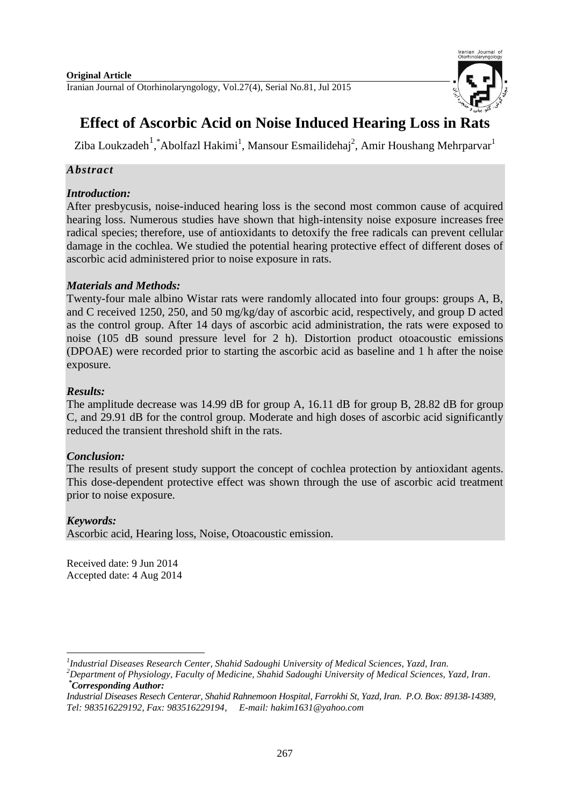

# **Effect of Ascorbic Acid on Noise Induced Hearing Loss in Rats**

Ziba Loukzadeh<sup>1</sup>, \*Abolfazl Hakimi<sup>1</sup>, Mansour Esmailidehaj<sup>2</sup>, Amir Houshang Mehrparvar<sup>1</sup>

# *Abstract*

# *Introduction:*

After presbycusis, noise-induced hearing loss is the second most common cause of acquired hearing loss. Numerous studies have shown that high-intensity noise exposure increases free radical species; therefore, use of antioxidants to detoxify the free radicals can prevent cellular damage in the cochlea. We studied the potential hearing protective effect of different doses of ascorbic acid administered prior to noise exposure in rats.

### *Materials and Methods:*

Twenty-four male albino Wistar rats were randomly allocated into four groups: groups A, B, and C received 1250, 250, and 50 mg/kg/day of ascorbic acid, respectively, and group D acted as the control group. After 14 days of ascorbic acid administration, the rats were exposed to noise (105 dB sound pressure level for 2 h). Distortion product otoacoustic emissions (DPOAE) were recorded prior to starting the ascorbic acid as baseline and 1 h after the noise exposure.

# *Results:*

The amplitude decrease was 14.99 dB for group A, 16.11 dB for group B, 28.82 dB for group C, and 29.91 dB for the control group. Moderate and high doses of ascorbic acid significantly reduced the transient threshold shift in the rats.

# *Conclusion:*

The results of present study support the concept of cochlea protection by antioxidant agents. This dose-dependent protective effect was shown through the use of ascorbic acid treatment prior to noise exposure.

### *Keywords:*

Ascorbic acid, Hearing loss, Noise, Otoacoustic emission.

Received date: 9 Jun 2014 Accepted date: 4 Aug 2014

<sup>-</sup>*1 Industrial Diseases Research Center, Shahid Sadoughi University of Medical Sciences, Yazd, Iran.*

*<sup>2</sup>Department of Physiology, Faculty of Medicine, Shahid Sadoughi University of Medical Sciences, Yazd, Iran. \*Corresponding Author:*

*Industrial Diseases Resech Centerar, Shahid Rahnemoon Hospital, Farrokhi St, Yazd, Iran. P.O. Box: 89138-14389, Tel: 983516229192, Fax: 983516229194, E-mail: [hakim1631@yahoo.com](mailto:hakim1631@yahoo.com)*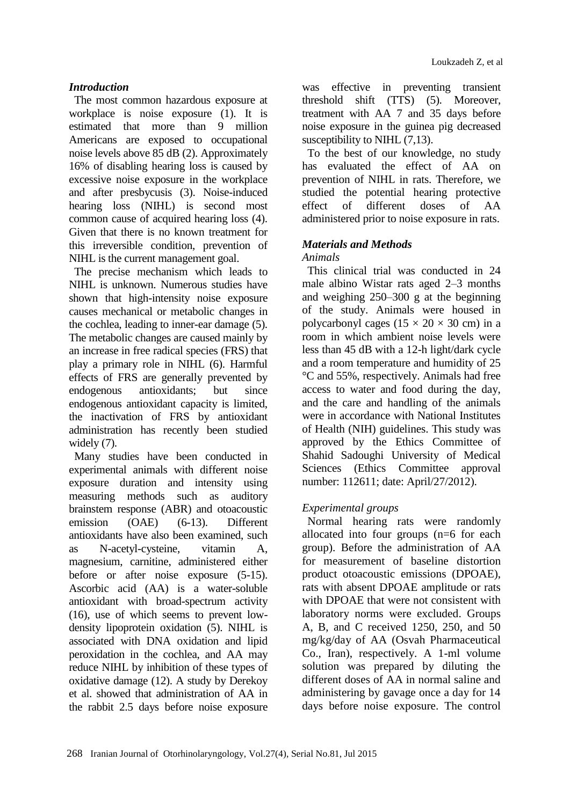### *Introduction*

The most common hazardous exposure at workplace is noise exposure (1). It is estimated that more than 9 million Americans are exposed to occupational noise levels above 85 dB (2). Approximately 16% of disabling hearing loss is caused by excessive noise exposure in the workplace and after presbycusis (3). Noise-induced hearing loss (NIHL) is second most common cause of acquired hearing loss (4). Given that there is no known treatment for this irreversible condition, prevention of NIHL is the current management goal.

The precise mechanism which leads to NIHL is unknown. Numerous studies have shown that high-intensity noise exposure causes mechanical or metabolic changes in the cochlea, leading to inner-ear damage (5). The metabolic changes are caused mainly by an increase in free radical species (FRS) that play a primary role in NIHL (6). Harmful effects of FRS are generally prevented by endogenous antioxidants; but since endogenous antioxidant capacity is limited, the inactivation of FRS by antioxidant administration has recently been studied widely  $(7)$ .

Many studies have been conducted in experimental animals with different noise exposure duration and intensity using measuring methods such as auditory brainstem response (ABR) and otoacoustic emission (OAE) (6-13). Different antioxidants have also been examined, such as N-acetyl-cysteine, vitamin A, magnesium, carnitine, administered either before or after noise exposure (5-15). Ascorbic acid (AA) is a water-soluble antioxidant with broad-spectrum activity (16), use of which seems to prevent lowdensity lipoprotein oxidation (5). NIHL is associated with DNA oxidation and lipid peroxidation in the cochlea, and AA may reduce NIHL by inhibition of these types of oxidative damage (12). A study by Derekoy et al. showed that administration of AA in the rabbit 2.5 days before noise exposure was effective in preventing transient threshold shift (TTS) (5). Moreover, treatment with AA 7 and 35 days before noise exposure in the guinea pig decreased susceptibility to NIHL  $(7,13)$ .

To the best of our knowledge, no study has evaluated the effect of AA on prevention of NIHL in rats. Therefore, we studied the potential hearing protective effect of different doses of AA administered prior to noise exposure in rats.

### *Materials and Methods*

#### *Animals*

This clinical trial was conducted in 24 male albino Wistar rats aged 2–3 months and weighing 250–300 g at the beginning of the study. Animals were housed in polycarbonyl cages ( $15 \times 20 \times 30$  cm) in a room in which ambient noise levels were less than 45 dB with a 12-h light/dark cycle and a room temperature and humidity of 25 °C and 55%, respectively. Animals had free access to water and food during the day, and the care and handling of the animals were in accordance with National Institutes of Health (NIH) guidelines. This study was approved by the Ethics Committee of Shahid Sadoughi University of Medical Sciences (Ethics Committee approval number: 112611; date: April/27/2012).

### *Experimental groups*

Normal hearing rats were randomly allocated into four groups (n=6 for each group). Before the administration of AA for measurement of baseline distortion product otoacoustic emissions (DPOAE), rats with absent DPOAE amplitude or rats with DPOAE that were not consistent with laboratory norms were excluded. Groups A, B, and C received 1250, 250, and 50 mg/kg/day of AA (Osvah Pharmaceutical Co., Iran), respectively. A 1-ml volume solution was prepared by diluting the different doses of AA in normal saline and administering by gavage once a day for 14 days before noise exposure. The control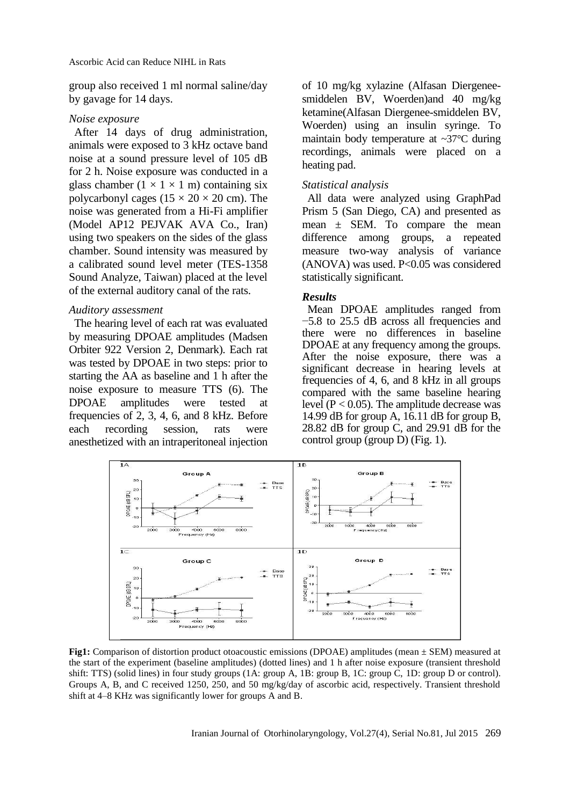group also received 1 ml normal saline/day by gavage for 14 days.

#### *Noise exposure*

After 14 days of drug administration, animals were exposed to 3 kHz octave band noise at a sound pressure level of 105 dB for 2 h. Noise exposure was conducted in a glass chamber  $(1 \times 1 \times 1$  m) containing six polycarbonyl cages ( $15 \times 20 \times 20$  cm). The noise was generated from a Hi-Fi amplifier (Model AP12 PEJVAK AVA Co., Iran) using two speakers on the sides of the glass chamber. Sound intensity was measured by a calibrated sound level meter (TES-1358 Sound Analyze, Taiwan) placed at the level of the external auditory canal of the rats.

#### *Auditory assessment*

The hearing level of each rat was evaluated by measuring DPOAE amplitudes (Madsen Orbiter 922 Version 2, Denmark). Each rat was tested by DPOAE in two steps: prior to starting the AA as baseline and 1 h after the noise exposure to measure TTS (6). The DPOAE amplitudes were tested at frequencies of 2, 3, 4, 6, and 8 kHz. Before each recording session, rats were anesthetized with an intraperitoneal injection

of 10 mg/kg xylazine (Alfasan Diergeneesmiddelen BV, Woerden)and 40 mg/kg ketamine(Alfasan Diergenee-smiddelen BV, Woerden) using an insulin syringe. To maintain body temperature at ~37°C during recordings, animals were placed on a heating pad.

#### *Statistical analysis*

All data were analyzed using GraphPad Prism 5 (San Diego, CA) and presented as mean  $\pm$  SEM. To compare the mean difference among groups, a repeated measure two-way analysis of variance (ANOVA) was used. P<0.05 was considered statistically significant.

#### *Results*

Mean DPOAE amplitudes ranged from −5.8 to 25.5 dB across all frequencies and there were no differences in baseline DPOAE at any frequency among the groups. After the noise exposure, there was a significant decrease in hearing levels at frequencies of 4, 6, and 8 kHz in all groups compared with the same baseline hearing level ( $P < 0.05$ ). The amplitude decrease was 14.99 dB for group A, 16.11 dB for group B, 28.82 dB for group C, and 29.91 dB for the control group (group D) (Fig. 1).



**Fig1:** Comparison of distortion product otoacoustic emissions (DPOAE) amplitudes (mean ± SEM) measured at the start of the experiment (baseline amplitudes) (dotted lines) and 1 h after noise exposure (transient threshold shift: TTS) (solid lines) in four study groups (1A: group A, 1B: group B, 1C: group C, 1D: group D or control). Groups A, B, and C received 1250, 250, and 50 mg/kg/day of ascorbic acid, respectively. Transient threshold shift at 4–8 KHz was significantly lower for groups A and B.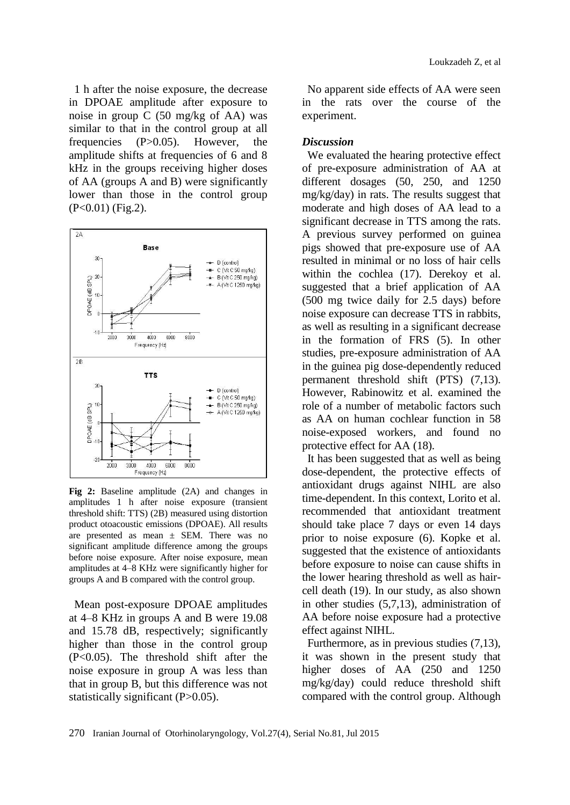1 h after the noise exposure, the decrease in DPOAE amplitude after exposure to noise in group C (50 mg/kg of AA) was similar to that in the control group at all frequencies (P>0.05). However, the amplitude shifts at frequencies of 6 and 8 kHz in the groups receiving higher doses of AA (groups A and B) were significantly lower than those in the control group (P<0.01) (Fig.2).



**Fig 2:** Baseline amplitude (2A) and changes in amplitudes 1 h after noise exposure (transient threshold shift: TTS) (2B) measured using distortion product otoacoustic emissions (DPOAE). All results are presented as mean  $\pm$  SEM. There was no significant amplitude difference among the groups before noise exposure. After noise exposure, mean amplitudes at 4–8 KHz were significantly higher for groups A and B compared with the control group.

Mean post-exposure DPOAE amplitudes at 4–8 KHz in groups A and B were 19.08 and 15.78 dB, respectively; significantly higher than those in the control group (P<0.05). The threshold shift after the noise exposure in group A was less than that in group B, but this difference was not statistically significant (P>0.05).

No apparent side effects of AA were seen in the rats over the course of the experiment.

#### *Discussion*

We evaluated the hearing protective effect of pre-exposure administration of AA at different dosages (50, 250, and 1250 mg/kg/day) in rats. The results suggest that moderate and high doses of AA lead to a significant decrease in TTS among the rats. A previous survey performed on guinea pigs showed that pre-exposure use of AA resulted in minimal or no loss of hair cells within the cochlea (17). Derekoy et al. suggested that a brief application of AA (500 mg twice daily for 2.5 days) before noise exposure can decrease TTS in rabbits, as well as resulting in a significant decrease in the formation of FRS (5). In other studies, pre-exposure administration of AA in the guinea pig dose-dependently reduced permanent threshold shift (PTS) (7,13). However, Rabinowitz et al. examined the role of a number of metabolic factors such as AA on human cochlear function in 58 noise-exposed workers, and found no protective effect for AA (18).

It has been suggested that as well as being dose-dependent, the protective effects of antioxidant drugs against NIHL are also time-dependent. In this context, Lorito et al. recommended that antioxidant treatment should take place 7 days or even 14 days prior to noise exposure (6). Kopke et al. suggested that the existence of antioxidants before exposure to noise can cause shifts in the lower hearing threshold as well as haircell death (19). In our study, as also shown in other studies (5,7,13), administration of AA before noise exposure had a protective effect against NIHL.

Furthermore, as in previous studies (7,13), it was shown in the present study that higher doses of AA (250 and 1250 mg/kg/day) could reduce threshold shift compared with the control group. Although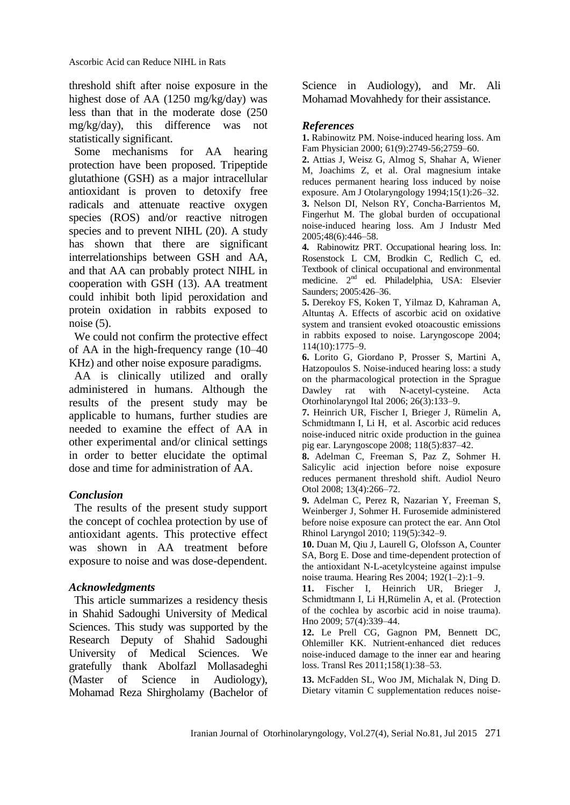threshold shift after noise exposure in the highest dose of AA (1250 mg/kg/day) was less than that in the moderate dose (250 mg/kg/day), this difference was not statistically significant.

Some mechanisms for AA hearing protection have been proposed. Tripeptide glutathione (GSH) as a major intracellular antioxidant is proven to detoxify free radicals and attenuate reactive oxygen species (ROS) and/or reactive nitrogen species and to prevent NIHL (20). A study has shown that there are significant interrelationships between GSH and AA, and that AA can probably protect NIHL in cooperation with GSH (13). AA treatment could inhibit both lipid peroxidation and protein oxidation in rabbits exposed to noise  $(5)$ .

We could not confirm the protective effect of AA in the high-frequency range (10–40 KHz) and other noise exposure paradigms.

AA is clinically utilized and orally administered in humans. Although the results of the present study may be applicable to humans, further studies are needed to examine the effect of AA in other experimental and/or clinical settings in order to better elucidate the optimal dose and time for administration of AA.

### *Conclusion*

The results of the present study support the concept of cochlea protection by use of antioxidant agents. This protective effect was shown in AA treatment before exposure to noise and was dose-dependent.

### *Acknowledgments*

This article summarizes a residency thesis in Shahid Sadoughi University of Medical Sciences. This study was supported by the Research Deputy of Shahid Sadoughi University of Medical Sciences. We gratefully thank [Abolfazl Mollasadeghi](http://www.hindawi.com/32872795/) (Master of Science in Audiology), Mohamad Reza Shirgholamy (Bachelor of Science in Audiology), and Mr. Ali Mohamad Movahhedy for their assistance.

# *References*

**1.** Rabinowitz PM. Noise-induced hearing loss. Am Fam Physician 2000; 61(9):2749-56;2759–60.

**2.** Attias J, Weisz G, Almog S, Shahar A, Wiener M, Joachims Z, et al. Oral magnesium intake reduces permanent hearing loss induced by noise exposure. Am J Otolaryngology 1994;15(1):26–32. **3.** Nelson DI, Nelson RY, Concha-Barrientos M,

Fingerhut M. The global burden of occupational noise-induced hearing loss. Am J Industr Med 2005;48(6):446–58.

**4.** Rabinowitz PRT. Occupational hearing loss. In: Rosenstock L CM, Brodkin C, Redlich C, ed. Textbook of clinical occupational and environmental medicine. 2nd ed. Philadelphia, USA: Elsevier Saunders; 2005:426–36.

**5.** Derekoy FS, Koken T, Yilmaz D, [Kahraman A,](http://www.ncbi.nlm.nih.gov/pubmed?term=Kahraman%20A%5BAuthor%5D&cauthor=true&cauthor_uid=15454771) [Altuntaş A.](http://www.ncbi.nlm.nih.gov/pubmed?term=Altunta%C5%9F%20A%5BAuthor%5D&cauthor=true&cauthor_uid=15454771) Effects of ascorbic acid on oxidative system and transient evoked otoacoustic emissions in rabbits exposed to noise. Laryngoscope 2004; 114(10):1775–9.

**6.** Lorito G, Giordano P, Prosser S, Martini A, Hatzopoulos S. Noise-induced hearing loss: a study on the pharmacological protection in the Sprague Dawley rat with N-acetyl-cysteine. Acta Otorhinolaryngol Ital 2006; 26(3):133–9.

**7.** Heinrich UR, Fischer I, Brieger J, Rümelin A, Schmidtmann I, Li H, et al. Ascorbic acid reduces noise-induced nitric oxide production in the guinea pig ear. Laryngoscope 2008; 118(5):837–42.

**8.** Adelman C, Freeman S, Paz Z, [Sohmer H.](http://www.ncbi.nlm.nih.gov/pubmed?term=Sohmer%20H%5BAuthor%5D&cauthor=true&cauthor_uid=18259079) Salicylic acid injection before noise exposure reduces permanent threshold shift. Audiol Neuro Otol 2008; 13(4):266–72.

**9.** Adelman C, Perez R, Nazarian Y, [Freeman S,](http://www.ncbi.nlm.nih.gov/pubmed?term=Freeman%20S%5BAuthor%5D&cauthor=true&cauthor_uid=20524581) [Weinberger J,](http://www.ncbi.nlm.nih.gov/pubmed?term=Weinberger%20J%5BAuthor%5D&cauthor=true&cauthor_uid=20524581) [Sohmer H.](http://www.ncbi.nlm.nih.gov/pubmed?term=Sohmer%20H%5BAuthor%5D&cauthor=true&cauthor_uid=20524581) Furosemide administered before noise exposure can protect the ear. Ann Otol Rhinol Laryngol 2010; 119(5):342–9.

**10.** Duan M, Qiu J, Laurell G, [Olofsson A,](http://www.ncbi.nlm.nih.gov/pubmed?term=Olofsson%20A%5BAuthor%5D&cauthor=true&cauthor_uid=15157958) [Counter](http://www.ncbi.nlm.nih.gov/pubmed?term=Counter%20SA%5BAuthor%5D&cauthor=true&cauthor_uid=15157958)  [SA,](http://www.ncbi.nlm.nih.gov/pubmed?term=Counter%20SA%5BAuthor%5D&cauthor=true&cauthor_uid=15157958) [Borg E.](http://www.ncbi.nlm.nih.gov/pubmed?term=Borg%20E%5BAuthor%5D&cauthor=true&cauthor_uid=15157958) Dose and time-dependent protection of the antioxidant N-L-acetylcysteine against impulse noise trauma. Hearing Res 2004; 192(1–2):1–9.

**11.** Fischer I, Heinrich UR, Brieger J, [Schmidtmann I,](http://www.ncbi.nlm.nih.gov/pubmed?term=Schmidtmann%20I%5BAuthor%5D&cauthor=true&cauthor_uid=19148615) [Li H,](http://www.ncbi.nlm.nih.gov/pubmed?term=Li%20H%5BAuthor%5D&cauthor=true&cauthor_uid=19148615)[Rümelin A,](http://www.ncbi.nlm.nih.gov/pubmed?term=R%C3%BCmelin%20A%5BAuthor%5D&cauthor=true&cauthor_uid=19148615) et al. (Protection of the cochlea by ascorbic acid in noise trauma). Hno 2009; 57(4):339–44.

**12.** Le Prell CG, Gagnon PM, Bennett DC, [Ohlemiller KK.](http://www.ncbi.nlm.nih.gov/pubmed?term=Ohlemiller%20KK%5BAuthor%5D&cauthor=true&cauthor_uid=21708355) Nutrient-enhanced diet reduces noise-induced damage to the inner ear and hearing loss. Transl Res 2011;158(1):38–53.

**13.** McFadden SL, Woo JM, Michalak N, Ding D. Dietary vitamin C supplementation reduces noise